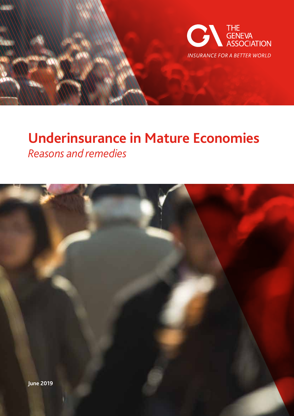

# **Underinsurance in Mature Economies**

*Reasons and remedies*

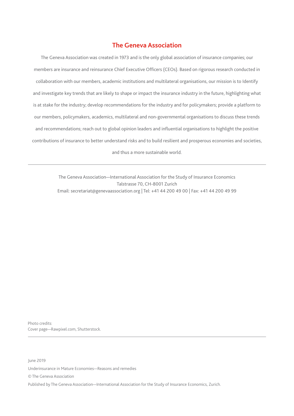# **The Geneva Association**

The Geneva Association was created in 1973 and is the only global association of insurance companies; our members are insurance and reinsurance Chief Executive Officers (CEOs). Based on rigorous research conducted in collaboration with our members, academic institutions and multilateral organisations, our mission is to Identify and investigate key trends that are likely to shape or impact the insurance industry in the future, highlighting what is at stake for the industry; develop recommendations for the industry and for policymakers; provide a platform to our members, policymakers, academics, multilateral and non-governmental organisations to discuss these trends and recommendations; reach out to global opinion leaders and influential organisations to highlight the positive contributions of insurance to better understand risks and to build resilient and prosperous economies and societies, and thus a more sustainable world.

> The Geneva Association—International Association for the Study of Insurance Economics Talstrasse 70, CH-8001 Zurich Email: secretariat@genevaassociation.org | Tel: +41 44 200 49 00 | Fax: +41 44 200 49 99

Photo credits: Cover page—Rawpixel.com, Shutterstock.

June 2019 Underinsurance in Mature Economies—Reasons and remedies © The Geneva Association Published by The Geneva Association—International Association for the Study of Insurance Economics, Zurich.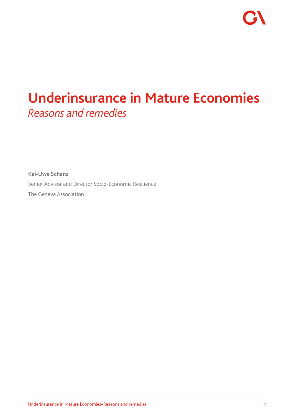# **Underinsurance in Mature Economies**  *Reasons and remedies*

**Kai-Uwe Schanz** Senior Advisor and Director Socio-Economic Resilience The Geneva Association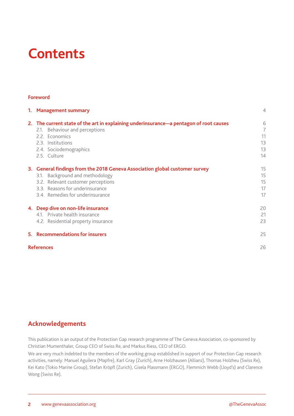# **Contents**

# **Foreword**

|                   | 1. Management summary                                                                                                                                                                                                       | $\overline{4}$                 |
|-------------------|-----------------------------------------------------------------------------------------------------------------------------------------------------------------------------------------------------------------------------|--------------------------------|
|                   | 2. The current state of the art in explaining underinsurance—a pentagon of root causes<br>2.1. Behaviour and perceptions<br>2.2. Economics<br>2.3. Institutions<br>2.4. Sociodemographics<br>2.5. Culture                   | 6<br>7<br>11<br>13<br>13<br>14 |
|                   | 3. General findings from the 2018 Geneva Association global customer survey<br>3.1. Background and methodology<br>3.2. Relevant customer perceptions<br>3.3. Reasons for underinsurance<br>3.4. Remedies for underinsurance | 15<br>15<br>15<br>17<br>17     |
|                   | 4. Deep dive on non-life insurance<br>4.1. Private health insurance<br>4.2. Residential property insurance                                                                                                                  | 20<br>21<br>23                 |
|                   | 5. Recommendations for insurers                                                                                                                                                                                             | 25                             |
| <b>References</b> |                                                                                                                                                                                                                             | 26                             |

# **Acknowledgements**

This publication is an output of the Protection Gap research programme of The Geneva Association, co-sponsored by Christian Mumenthaler, Group CEO of Swiss Re, and Markus Riess, CEO of ERGO.

We are very much indebted to the members of the working group established in support of our Protection Gap research activities, namely: Manuel Aguilera (Mapfre), Karl Gray (Zurich), Arne Holzhausen (Allianz), Thomas Holzheu (Swiss Re), Kei Kato (Tokio Marine Group), Stefan Kröpfl (Zurich), Gisela Plassmann (ERGO), Flemmich Webb (Lloyd's) and Clarence Wong (Swiss Re).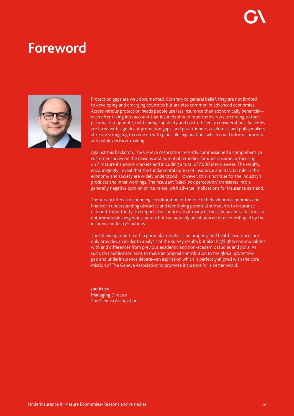# **Foreword**



Protection gaps are well documented. Contrary to general belief, they are not limited to developing and emerging countries but are also common in advanced economies. Across various protection needs people use less insurance than economically beneficial even after taking into account that insureds should retain some risks according to their personal risk appetite, risk bearing capability and cost-efficiency considerations. Societies are faced with significant protection gaps, and practitioners, academics and policymakers alike are struggling to come up with plausible explanations which could inform corporate and public decision-making.

Against this backdrop, The Geneva Association recently commissioned a comprehensive customer survey on the reasons and potential remedies for underinsurance, focusing on 7 mature insurance markets and including a total of 7,000 interviewees. The results, encouragingly, reveal that the fundamental notion of insurance and its vital role in the economy and society are widely understood. However, this is not true for the industry's products and inner workings. The resultant 'black box perception' translates into a generally negative opinion of insurance, with adverse implications for insurance demand.

The survey offers a resounding corroboration of the role of behavioural economics and finance in understanding obstacles and identifying potential stimulants to insurance demand. Importantly, the report also confirms that many of these behavioural factors are not immutable exogenous factors but can actually be influenced or even reshaped by the insurance industry's actions.

The following report, with a particular emphasis on property and health insurance, not only provides an in-depth analysis of the survey results but also highlights commonalities with and differences from previous academic and non-academic studies and polls. As such, this publication aims to make an original contribution to the global protection gap and underinsurance debate—an aspiration which is perfectly aligned with the core mission of The Geneva Association to promote insurance for a better world.

### **Jad Ariss**

Managing Director The Geneva Association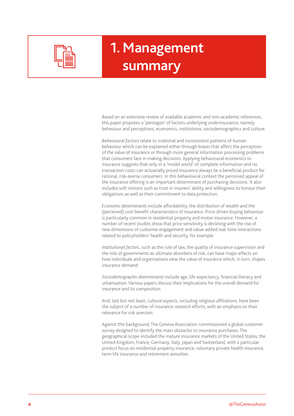

# **1. Management summary**

Based on an extensive review of available academic and non-academic references, this paper proposes a 'pentagon' of factors underlying underinsurance, namely behaviour and perceptions, economics, institutions, sociodemographics and culture.

*Behavioural factors* relate to irrational and inconsistent patterns of human behaviour which can be explained either through biases that affect the perception of the value of insurance or through more general information processing problems that consumers face in making decisions. Applying behavioural economics to insurance suggests that only in a 'model world' of complete information and no transaction costs can actuarially priced insurance always be a beneficial product for rational, risk-averse consumers. In this behavioural context the perceived appeal of the insurance offering is an important determinant of purchasing decisions. It also includes soft notions such as trust in insurers' ability and willingness to honour their obligations as well as their commitment to data protection.

*Economic determinants* include affordability, the distribution of wealth and the (perceived) cost-benefit characteristics of insurance. Price-driven buying behaviour is particularly common in residential property and motor insurance. However, a number of recent studies show that price sensitivity is declining with the rise of new dimensions of customer engagement and value-added real-time interactions related to policyholders' health and security, for example.

*Institutional factors*, such as the rule of law, the quality of insurance supervision and the role of governments as ultimate absorbers of risk, can have major effects on how individuals and organisations view the value of insurance which, in turn, shapes insurance demand.

*Sociodemographic determinants* include age, life expectancy, financial literacy and urbanisation. Various papers discuss their implications for the overall demand for insurance and its composition.

And, last but not least, *cultural aspects*, including religious affiliations, have been the subject of a number of insurance research efforts, with an emphasis on their relevance for risk aversion.

Against this background, The Geneva Association commissioned a global customer survey designed to identify the main obstacles to insurance purchases. The geographical scope included the mature insurance markets of the United States, the United Kingdom, France, Germany, Italy, Japan and Switzerland, with a particular product focus on residential property insurance, voluntary private health insurance, term life insurance and retirement annuities.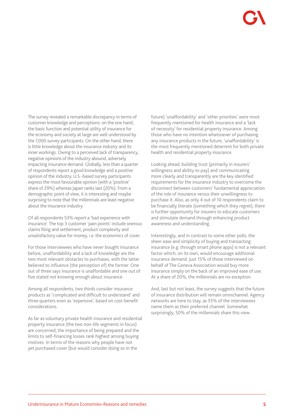The survey revealed a remarkable discrepancy in terms of customer knowledge and perceptions: on the one hand, the basic function and potential utility of insurance for the economy and society at large are well understood by the 7,000 survey participants. On the other hand, there is little knowledge about the insurance *industry* and its inner workings. Owing to a perceived lack of transparency, negative opinions of the industry abound, adversely impacting insurance demand. Globally, less than a quarter of respondents report a good knowledge and a positive opinion of the industry. U.S.-based survey participants express the most favourable opinion (with a 'positive' share of 29%) whereas Japan ranks last (20%). From a demographic point of view, it is interesting and maybe surprising to note that the millennials are least negative about the insurance industry.

Of all respondents 53% report a 'bad experience with insurance'. The top 3 customer 'pain points' include onerous claims filing and settlement, product complexity and unsatisfactory value for money, i.e. the economics of cover.

For those interviewees who have never bought insurance before, unaffordability and a lack of knowledge are the two most relevant obstacles to purchases, with the latter believed to influence (the perception of) the former. One out of three says insurance is unaffordable and one out of five stated not knowing enough about insurance.

Among all respondents, two thirds consider insurance products as 'complicated and difficult to understand' and three quarters even as 'expensive', based on cost-benefit considerations.

As far as voluntary private health insurance and residential property insurance (the two non-life segments in focus) are concerned, the importance of being prepared and the limits to self-financing losses rank highest among buying motives. In terms of the reasons why people have not yet purchased cover (but would consider doing so in the

future) 'unaffordability' and 'other priorities' were most frequently mentioned for health insurance and a 'lack of necessity' for residential property insurance. Among those who have no intention whatsoever of purchasing any insurance products in the future, 'unaffordability' is the most frequently mentioned deterrent for both private health and residential property insurance.

Looking ahead, building trust (primarily in insurers' willingness and ability to pay) and communicating more clearly and transparently are the key identified requirements for the insurance industry to overcome the disconnect between customers' fundamental appreciation of the role of insurance versus their unwillingness to purchase it. Also, as only 4 out of 10 respondents claim to be financially literate (something which they regret), there is further opportunity for insurers to educate customers and stimulate demand through enhancing product awareness and understanding.

Interestingly, and in contrast to some other polls, the sheer ease and simplicity of buying and transacting insurance (e.g. through smart phone apps) is not a relevant factor which, on its own, would encourage additional insurance demand. Just 15% of those interviewed on behalf of The Geneva Association would buy more insurance simply on the back of an improved ease of use. At a share of 20%, the millennials are no exception.

And, last but not least, the survey suggests that the future of insurance distribution will remain omnichannel. Agency networks are here to stay, as 55% of the interviewees name them as their preferred channel. Somewhat surprisingly, 50% of the millennials share this view.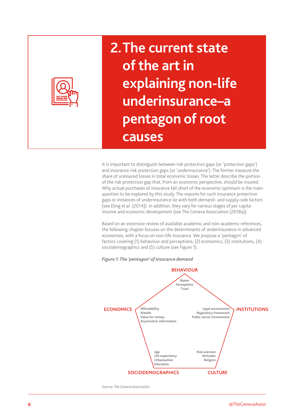

**2.The current state of the art in explaining non-life underinsurance–a pentagon of root causes**

It is important to distinguish between risk protection gaps (or 'protection gaps') and insurance risk protection gaps (or 'underinsurance'). The former measure the share of uninsured losses in total economic losses. The latter describe the portion of the risk protection gap that, from an economic perspective, should be insured. Why actual purchases of insurance fall short of the economic optimum is the main question to be explored by this study. The reasons for such insurance protection gaps or instances of underinsurance lie with both demand- and supply-side factors (see Eling *et al.* (2014)). In addition, they vary for various stages of per capita income and economic development (see The Geneva Association (2018a)).

Based on an extensive review of available academic and non-academic references, the following chapter focuses on the determinants of underinsurance in advanced economies, with a focus on non-life insurance. We propose a 'pentagon' of factors covering (1) behaviour and perceptions, (2) economics, (3) institutions, (4) sociodemographics and (5) culture (see Figure 1).





*Source: The Geneva Association*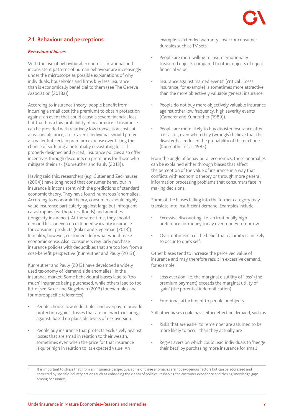

# **2.1. Behaviour and perceptions**

# *Behavioural biases*

With the rise of behavioural economics, irrational and inconsistent patterns of human behaviour are increasingly under the microscope as possible explanations of why individuals, households and firms buy less insurance than is economically beneficial to them (see The Geneva Association (2018a)).

According to insurance theory, people benefit from incurring a small cost (the premium) to obtain protection against an event that could cause a severe financial loss but that has a low probability of occurrence. If insurance can be provided with relatively low transaction costs at a reasonable price, a risk-averse individual should prefer a smaller but certain premium expense over taking the chance of suffering a potentially devastating loss. If properly designed and priced, insurance policies also offer incentives through discounts on premiums for those who mitigate their risk (Kunreuther and Pauly (2013)).

Having said this, researchers (e.g. Cutler and Zeckhauser (2004)) have long noted that consumer behaviour in insurance is inconsistent with the predictions of standard economic theory. They have found numerous 'anomalies'. According to economic theory, consumers should highly value insurance particularly against large but infrequent catastrophes (earthquakes, floods) and annuities (longevity insurance). At the same time, they should demand less or even no extended warranty insurance for consumer products (Baker and Siegelman (2013)). In reality, however, customers defy what would make economic sense. Also, consumers regularly purchase insurance policies with deductibles that are too low from a cost-benefit perspective (Kunreuther and Pauly (2013)).

Kunreuther and Pauly (2013) have developed a widely used taxonomy of 'demand side anomalies'<sup>1</sup> in the insurance market. Some behavioural biases lead to 'too much' insurance being purchased, while others lead to too little (see Baker and Siegelman (2013) for examples and for more specific references):

- People choose low deductibles and overpay to provide protection against losses that are not worth insuring against, based on plausible levels of risk aversion.
- People buy insurance that protects exclusively against losses that are small in relation to their wealth, sometimes even when the price for that insurance is quite high in relation to its expected value. An

example is extended warranty cover for consumer durables such as TV sets.

- People are more willing to insure emotionally treasured objects compared to other objects of equal financial value.
- Insurance against 'named events' (critical illness insurance, for example) is sometimes more attractive than the more objectively valuable general insurance.
- People do not buy more objectively valuable insurance against other low frequency, high severity events (Camerer and Kunreuther (1989)).
- People are more likely to buy disaster insurance after a disaster, even when they (wrongly) believe that this disaster has reduced the probability of the next one (Kunreuther et al. 1985).

From the angle of behavioural economics, these anomalies can be explained either through biases that affect the perception of the value of insurance in a way that conflicts with economic theory or through more general information processing problems that consumers face in making decisions.

Some of the biases falling into the former category may translate into insufficient demand. Examples include

- Excessive discounting, i.e. an irrationally high preference for money today over money tomorrow
- Over-optimism, i.e. the belief that calamity is unlikely to occur to one's self.

Other biases tend to increase the perceived value of insurance and may therefore result in excessive demand, for example:

- Loss aversion, i.e. the marginal disutility of 'loss' (the premium payment) exceeds the marginal utility of 'gain' (the potential indemnification)
- Emotional attachment to people or objects.

Still other biases could have either effect on demand, such as

- Risks that are easier to remember are assumed to be more likely to occur than they actually are
- Regret aversion which could lead individuals to 'hedge their bets' by purchasing more insurance for small

It is important to stress that, from an insurance perspective, some of these anomalies are not exogenous factors but can be addressed and corrected by specific industry actions such as enhancing the clarity of policies, reshaping the customer experience and closing knowledge gaps among consumers.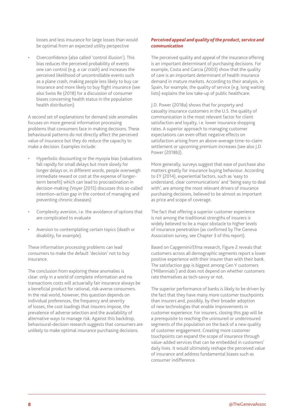losses and less insurance for large losses than would be optimal from an expected utility perspective

• Overconfidence (also called 'control illusion'). This bias reduces the perceived probability of events one can control (e.g. a car crash) and increases the perceived likelihood of uncontrollable events such as a plane crash, making people less likely to buy car insurance and more likely to buy flight insurance (see also Swiss Re (2018) for a discussion of consumer biases concerning health status in the population health distribution).

A second set of explanations for demand side anomalies focuses on more general information processing problems that consumers face in making decisions. These behavioural patterns do not directly affect the perceived value of insurance but they do reduce the capacity to make a decision. Examples include:

- Hyperbolic discounting or the myopia bias (valuations fall rapidly for small delays but more slowly for longer delays or, in different words, people overweigh immediate reward or cost at the expense of longerterm benefit) which can lead to procrastination in decision-making (Voyer (2015) discusses this so-called intention–action gap in the context of managing and preventing chronic diseases)
- Complexity aversion, i.e. the avoidance of options that are complicated to evaluate
- Aversion to contemplating certain topics (death or disability, for example).

These information processing problems can lead consumers to make the default 'decision' not to buy insurance.

The conclusion from exploring these anomalies is clear: only in a world of complete information and no transactions costs will actuarially fair insurance always be a beneficial product for rational, risk-averse consumers. In the real world, however, this question depends on individual preferences, the frequency and severity of losses, the cost loadings that insurers impose, the prevalence of adverse selection and the availability of alternative ways to manage risk. Against this backdrop, behavioural-decision research suggests that consumers are unlikely to make optimal insurance purchasing decisions.

# *Perceived appeal and quality of the product, service and communication*

The perceived quality and appeal of the insurance offering is an important determinant of purchasing decisions. For example, Costa and Garcia (2003) show that the quality of care is an important determinant of health insurance demand in mature markets. According to their analysis, in Spain, for example, the quality of service (e.g. long waiting lists) explains the low take-up of public healthcare.

J.D. Power (2018a) shows that for property and casualty insurance customers in the U.S. the quality of communication is the most relevant factor for client satisfaction and loyalty, i.e. lower insurance shopping rates. A superior approach to managing customer expectations can even offset negative effects on satisfaction arising from an above-average time-to-claim settlement or upcoming premium increases (see also J.D. Power (2018b)).

More generally, surveys suggest that ease of purchase also matters greatly for insurance buying behaviour. According to EY (2014), experiential factors, such as 'easy to understand, clear communications' and 'being easy to deal with', are among the most relevant drivers of insurance purchasing decisions, believed to be almost as important as price and scope of coverage.

The fact that offering a superior customer experience is not among the traditional strengths of insurers is widely believed to be a major obstacle to higher levels of insurance penetration (as confirmed by The Geneva Association survey, see Chapter 3 of this report).

Based on Capgemini/Efma research, Figure 2 reveals that customers across all demographic segments report a lower positive experience with their insurer than with their bank. The satisfaction gap is biggest among Gen Y customers ('Millennials') and does not depend on whether customers rate themselves as tech-savvy or not.

The superior performance of banks is likely to be driven by the fact that they have many more customer touchpoints than insurers and, possibly, by their broader adoption of new technologies that enable improvements in customer experience. For insurers, closing this gap will be a prerequisite to reaching the uninsured or underinsured segments of the population on the back of a new quality of customer engagement. Creating more customer touchpoints can expand the scope of insurance through value-added services that can be embedded in customers' daily lives. It would ultimately reshape the perceived value of insurance and address fundamental biases such as consumer indifference.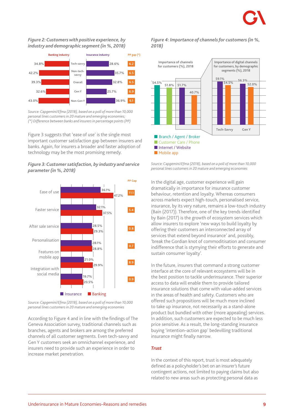

## *Figure 2: Customers with positive experience, by industry and demographic segment (in %, 2018)*



*Source: Capgemini/Efma (2018), based on a poll of more than 10,000 personal lines customers in 20 mature and emerging economies; (\*) Difference between banks and insurers in percentage points (PP)* 

Figure 3 suggests that 'ease of use' is the single most important customer satisfaction gap between insurers and banks. Again, for insurers a broader and faster adoption of technology may be the most promising remedy.





*Source: Capgemini/Efma (2018), based on a poll of more than 10,000 personal lines customers in 20 mature and emerging economies* 

According to Figure 4 and in line with the findings of The Geneva Association survey, traditional channels such as branches, agents and brokers are among the preferred channels of all customer segments. Even tech-savvy and Gen Y customers seek an omnichannel experience, and insurers need to provide such an experience in order to increase market penetration.

# *Figure 4: Importance of channels for customers (in %, 2018)*



*Source: Capgemini/Efma (2018), based on a poll of more than 10,000 personal lines customers in 20 mature and emerging economies*

In the digital age, customer experience will gain dramatically in importance for insurance customer behaviour, retention and loyalty. Whereas consumers across markets expect high-touch, personalised service, insurance, by its very nature, remains a low-touch industry (Bain (2017)). Therefore, one of the key trends identified by Bain (2017) is the growth of ecosystem services which allow insurers to explore 'new ways to build loyalty by offering their customers an interconnected array of services that extend beyond insurance' and, possibly, 'break the Gordian knot of commoditisation and consumer indifference that is stymying their efforts to generate and sustain consumer loyalty'.

In the future, insurers that command a strong customer interface at the core of relevant ecosystems will be in the best position to tackle underinsurance. Their superior access to data will enable them to provide tailored insurance solutions that come with value-added services in the areas of health and safety. Customers who are offered such propositions will be much more inclined to take up insurance, not necessarily as a stand-alone product but bundled with other (more appealing) services. In addition, such customers are expected to be much less price sensitive. As a result, the long-standing insurance buying 'intention–action gap' bedevilling traditional insurance might finally narrow.

# *Trust*

In the context of this report, trust is most adequately defined as a policyholder's bet on an insurer's future contingent actions, not limited to paying claims but also related to new areas such as protecting personal data as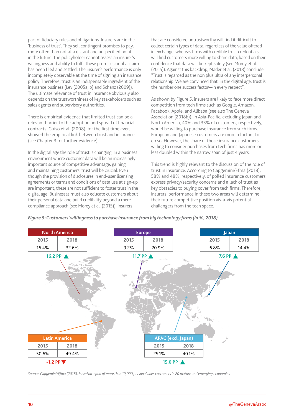part of fiduciary rules and obligations. Insurers are in the 'business of trust'. They sell contingent promises to pay, more often than not at a distant and unspecified point in the future. The policyholder cannot assess an insurer's willingness and ability to fulfil these promises until a claim has been filed and settled. The insurer's performance is only incompletely observable at the time of signing an insurance policy. Therefore, trust is an indispensable ingredient of the insurance business (Lev (2005a, b) and Schanz (2009)). The ultimate relevance of trust in insurance obviously also depends on the trustworthiness of key stakeholders such as sales agents and supervisory authorities.

There is empirical evidence that limited trust can be a relevant barrier to the adoption and spread of financial contracts. Guiso et al. (2008), for the first time ever, showed the empirical link between trust and insurance (see Chapter 3 for further evidence).

In the digital age the role of trust is changing. In a business environment where customer data will be an increasingly important source of competitive advantage, gaining and maintaining customers' trust will be crucial. Even though the provision of disclosures in end-user licensing agreements or terms and conditions of data use at sign-up are important, these are not sufficient to foster trust in the digital age. Businesses must also educate customers about their personal data and build credibility beyond a mere compliance approach (see Morey et al. (2015)). Insurers

that are considered untrustworthy will find it difficult to collect certain types of data, regardless of the value offered in exchange, whereas firms with credible trust credentials will find customers more willing to share data, based on their confidence that data will be kept safely (see Morey et al. (2015)). Against this backdrop, Mäder et al. (2018) conclude: "Trust is regarded as the non plus ultra of any interpersonal relationship. We are convinced that, in the digital age, trust is the number one success factor—in every respect".

As shown by Figure 5, insurers are likely to face more direct competition from tech firms such as Google, Amazon, Facebook, Apple, and Alibaba (see also The Geneva Association (2018b)). In Asia-Pacific, excluding Japan and North America, 40% and 33% of customers, respectively, would be willing to purchase insurance from such firms. European and Japanese customers are more reluctant to do so. However, the share of those insurance customers willing to consider purchases from tech firms has more or less doubled within the narrow span of just 4 years.

This trend is highly relevant to the discussion of the role of trust in insurance. According to Capgemini/Efma (2018), 58% and 48%, respectively, of polled insurance customers express privacy/security concerns and a lack of trust as key obstacles to buying cover from tech firms. Therefore, insurers' performance in these two areas will determine their future competitive position vis-à-vis potential challengers from the tech space.

*Figure 5: Customers' willingness to purchase insurance from big technology firms (in %, 2018)*



*Source: Capgemini/Efma (2018), based on a poll of more than 10,000 personal lines customers in 20 mature and emerging economies*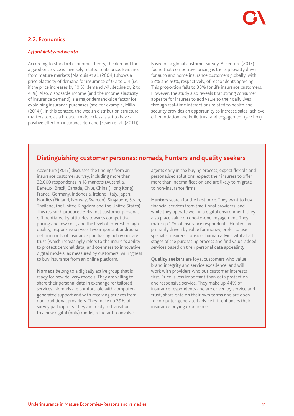

# **2.2. Economics**

# *Affordability and wealth*

According to standard economic theory, the demand for a good or service is inversely related to its price. Evidence from mature markets (Marquis et al. (2004)) shows a price elasticity of demand for insurance of 0.2 to 0.4 (i.e. if the price increases by 10 %, demand will decline by 2 to 4 %). Also, disposable income (and the income elasticity of insurance demand) is a major demand-side factor for explaining insurance purchases (see, for example, Millo (2014)). In this context, the wealth distribution structure matters too, as a broader middle class is set to have a positive effect on insurance demand (Feyen et al. (2011)).

Based on a global customer survey, Accenture (2017) found that competitive pricing is the top loyalty driver for auto and home insurance customers globally, with 52% and 50%, respectively, of respondents agreeing. This proportion falls to 38% for life insurance customers. However, the study also reveals that strong consumer appetite for insurers to add value to their daily lives through real-time interactions related to health and security provides an opportunity to increase sales, achieve differentiation and build trust and engagement (see box).

# **Distinguishing customer personas: nomads, hunters and quality seekers**

Accenture (2017) discusses the findings from an insurance customer survey, including more than 32,000 respondents in 18 markets (Australia, Benelux, Brazil, Canada, Chile, China (Hong Kong), France, Germany, Indonesia, Ireland, Italy, Japan, Nordics (Finland, Norway, Sweden), Singapore, Spain, Thailand, the United Kingdom and the United States). This research produced 3 distinct customer personas, differentiated by attitudes towards competitive pricing and low cost, and the level of interest in highquality, responsive service. Two important additional determinants of insurance purchasing behaviour are trust (which increasingly refers to the insurer's ability to protect personal data) and openness to innovative digital models, as measured by customers' willingness to buy insurance from an online platform.

**Nomads** belong to a digitally active group that is ready for new delivery models. They are willing to share their personal data in exchange for tailored services. Nomads are comfortable with computergenerated support and with receiving services from non-traditional providers. They make up 39% of survey participants. They are ready to transition to a new digital (only) model, reluctant to involve

agents early in the buying process, expect flexible and personalised solutions, expect their insurers to offer more than indemnification and are likely to migrate to non-insurance firms.

**Hunters** search for the best price. They want to buy financial services from traditional providers, and while they operate well in a digital environment, they also place value on one-to-one engagement. They make up 17% of insurance respondents. Hunters are primarily driven by value for money, prefer to use specialist insurers, consider human advice vital at all stages of the purchasing process and find value-added services based on their personal data appealing.

**Quality seekers** are loyal customers who value brand integrity and service excellence, and will work with providers who put customer interests first. Price is less important than data protection and responsive service. They make up 44% of insurance respondents and are driven by service and trust, share data on their own terms and are open to computer-generated advice if it enhances their insurance buying experience.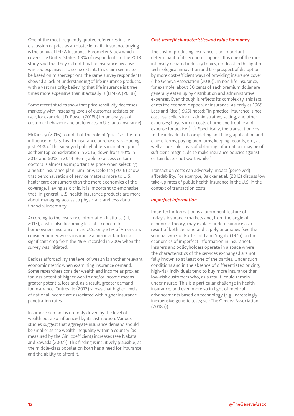One of the most frequently quoted references in the discussion of price as an obstacle to life insurance buying is the annual LIMRA Insurance Barometer Study which covers the United States. 63% of respondents to the 2018 study said that they did not buy life insurance because it was too expensive. To some extent, this claim seems to be based on misperceptions: the same survey respondents showed a lack of understanding of life insurance products, with a vast majority believing that life insurance is three times more expensive than it actually is (LIMRA (2018)).

Some recent studies show that price sensitivity decreases markedly with increasing levels of customer satisfaction (see, for example, J.D. Power (2018b) for an analysis of customer behaviour and preferences in U.S. auto insurance).

McKinsey (2016) found that the role of 'price' as the top influence for U.S. health insurance purchasers is eroding: just 24% of the surveyed policyholders indicated 'price' as their top consideration in 2016, down from 40% in 2015 and 60% in 2014. Being able to access certain doctors is almost as important as price when selecting a health insurance plan. Similarly, Deloitte (2016) show that personalisation of service matters more to U.S. healthcare consumers than the mere economics of the coverage. Having said this, it is important to emphasise that, in general, U.S. health insurance products are more about managing access to physicians and less about financial indemnity.

According to the Insurance Information Institute (III, 2017), cost is also becoming less of a concern for homeowners insurance in the U.S.: only 31% of Americans consider homeowners insurance a financial burden, a significant drop from the 49% recorded in 2009 when the survey was initiated.

Besides affordability the level of wealth is another relevant economic metric when examining insurance demand. Some researchers consider wealth and income as proxies for loss potential: higher wealth and/or income means greater potential loss and, as a result, greater demand for insurance. Outreville (2013) shows that higher levels of national income are associated with higher insurance penetration rates.

Insurance demand is not only driven by the level of wealth but also influenced by its distribution. Various studies suggest that aggregate insurance demand should be smaller as the wealth inequality within a country (as measured by the Gini coefficient) increases (see Nakata and Sawada (2007)). This finding is intuitively plausible, as the middle-class population both has a need for insurance and the ability to afford it.

# *Cost-benefit characteristics and value for money*

The cost of producing insurance is an important determinant of its economic appeal. It is one of the most intensely debated industry topics, not least in the light of technological innovation and the prospect of disruption by more cost-efficient ways of providing insurance cover (The Geneva Association (2016)). In non-life insurance, for example, about 30 cents of each premium dollar are generally eaten up by distribution and administrative expenses. Even though it reflects its complexity, this fact dents the economic appeal of insurance. As early as 1965 Lees and Rice (1965) noted: "In practice, insurance is not costless: sellers incur administrative, selling, and other expenses; buyers incur costs of time and trouble and expense for advice (…). Specifically, the transaction cost to the individual of completing and filling application and claims forms, paying premiums, keeping records, etc., as well as possible costs of obtaining information, may be of sufficient magnitude to make insurance policies against certain losses not worthwhile."

Transaction costs can adversely impact (perceived) affordability. For example, Baicker et al. (2012) discuss low take-up rates of public health insurance in the U.S. in the context of transaction costs.

### *Imperfect information*

Imperfect information is a prominent feature of today's insurance markets and, from the angle of economic theory, may explain underinsurance as a result of both demand and supply anomalies (see the seminal work of Rothschild and Stiglitz (1976) on the economics of imperfect information in insurance). Insurers and policyholders operate in a space where the characteristics of the services exchanged are not fully known to at least one of the parties. Under such conditions and in the absence of differentiated pricing, high-risk individuals tend to buy more insurance than low-risk customers who, as a result, could remain underinsured. This is a particular challenge in health insurance, and even more so in light of medical advancements based on technology (e.g. increasingly inexpensive genetic tests; see The Geneva Association (2018a)).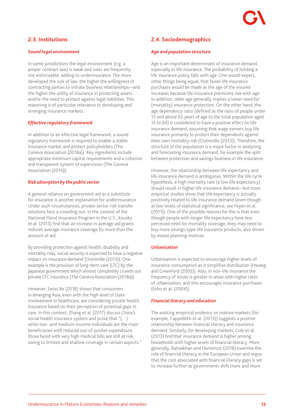# **2.3. Institutions**

# *Sound legal environment*

In some jurisdictions the legal environment (e.g. a proper contract law) is weak and rules are frequently not enforceable, adding to underinsurance. The more developed the rule of law, the higher the willingness of contracting parties to initiate business relationships—and the higher the utility of insurance in protecting assets and/or the need to protect against legal liabilities. This reasoning is of particular relevance to developing and emerging insurance markets.

# *Effective regulatory framework*

In addition to an effective legal framework, a sound regulatory framework is required to enable a stable insurance market and protect policyholders (The Geneva Association (2018a)). Key ingredients include appropriate minimum capital requirements and a cohesive and transparent system of supervision (The Geneva Association (2014)).

### *Risk absorption by the public sector*

A general reliance on government aid as a substitute for insurance is another explanation for underinsurance. Under such circumstances, private-sector risk transfer solutions face a crowding out. In the context of the National Flood Insurance Program in the U.S., Kousky et al. (2013) find that an increase in average aid grants reduces average insurance coverage by more than the amount of aid.

By providing protection against health, disability and mortality risks, social security is expected to have a negative impact on insurance demand (Outreville (2013)). One example is the provision of long-term care (LTC) by the Japanese government which almost completely crowds out private LTC insurance (The Geneva Association (2018a)).

However, Swiss Re (2018) shows that consumers in emerging Asia, even with the high level of state involvement in healthcare, are considering private health insurance based on their perception of potential gaps in care. In this context, Zhang et al. (2017) discuss China's social health insurance system and prove that "(…) while low- and medium-income individuals are the main beneficiaries with reduced out-of-pocket expenditure, those faced with very high medical bills are still at risk, owing to limited and shallow coverage in certain aspects."

# **2.4. Sociodemographics**

### *Age and population structure*

Age is an important determinant of insurance demand, especially in life insurance. The probability of holding a life insurance policy falls with age. One would expect, other things being equal, that fewer life insurance purchases would be made as the age of the insured increases because life insurance premiums rise with age. In addition, older age generally implies a lower need for (mortality) insurance protection. On the other hand, the age dependency ratio (defined as the ratio of people under 15 and above 65 years of age to the total population aged 15 to 64) is considered to have a positive effect on life insurance demand, assuming that wage earners buy life insurance primarily to protect their dependents against their own mortality risk (Outreville (2013)). Therefore, the structure of the population is a major factor in analysing and forecasting insurance demand, for example the split between protection and savings business in life insurance.

However, the relationship between life expectancy and life insurance demand is ambiguous. Within the life cycle hypothesis, a high mortality rate (a low life expectancy) should result in higher life insurance demand—but most empirical studies show that life expectancy is actually positively related to life insurance demand (even though at low levels of statistical significance; see Feyen et al. (2011)). One of the possible reasons for this is that even though people with longer life expectancy have less perceived need for mortality coverage, they may need to buy more savings-type life insurance products, also driven by estate planning motives.

# *Urbanisation*

Urbanisation is expected to encourage higher levels of insurance consumption as it simplifies distribution (Hwang and Greenford (2005)). Also, in non-life insurance the frequency of losses is greater in areas with higher rates of urbanisation, and this encourages insurance purchases (Esho et al. (2004)).

### *Financial literacy and education*

The existing empirical evidence on mature markets (for example, Cappelletti et al. (2013)) suggests a positive relationship between financial literacy and insurance demand. Similarly, for developing markets, Cole et al. (2013) find that insurance demand is higher among households with higher levels of financial literacy. More generally, Batsaikhan and Demertzis (2018) examine the role of financial literacy in the European Union and argue that the cost associated with financial literacy gaps is set to increase further as governments shift more and more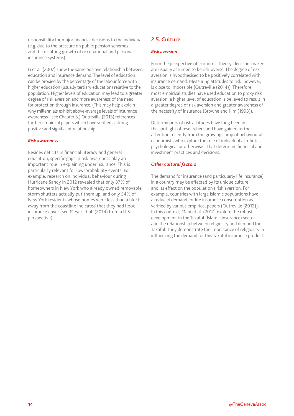responsibility for major financial decisions to the individual (e.g. due to the pressure on public pension schemes and the resulting growth of occupational and personal insurance systems).

Li et al. (2007) show the same positive relationship between education and insurance demand. The level of education can be proxied by the percentage of the labour force with higher education (usually tertiary education) relative to the population. Higher levels of education may lead to a greater degree of risk aversion and more awareness of the need for protection through insurance. (This may help explain why millennials exhibit above-average levels of insurance awareness—see Chapter 3.) Outreville (2013) references further empirical papers which have verified a strong positive and significant relationship.

# *Risk awareness*

Besides deficits in financial literacy and general education, specific gaps in risk awareness play an important role in explaining underinsurance. This is particularly relevant for low-probability events. For example, research on individual behaviour during Hurricane Sandy in 2012 revealed that only 37% of homeowners in New York who already owned removable storm shutters actually put them up, and only 54% of New York residents whose homes were less than a block away from the coastline indicated that they had flood insurance cover (see Meyer et al. (2014) from a U.S. perspective).

# **2.5. Culture**

# *Risk aversion*

From the perspective of economic theory, decision-makers are usually assumed to be risk-averse. The degree of risk aversion is hypothesised to be positively correlated with insurance demand. Measuring attitudes to risk, however, is close to impossible (Outreville (2014)). Therefore, most empirical studies have used education to proxy risk aversion: a higher level of education is believed to result in a greater degree of risk aversion and greater awareness of the necessity of insurance (Browne and Kim (1993)).

Determinants of risk attitudes have long been in the spotlight of researchers and have gained further attention recently from the growing camp of behavioural economists who explore the role of individual attributes psychological or otherwise—that determine financial and investment practices and decisions.

# *Other cultural factors*

The demand for insurance (and particularly life insurance) in a country may be affected by its unique culture and its effect on the population's risk aversion. For example, countries with large Islamic populations have a reduced demand for life insurance consumption as verified by various empirical papers (Outreville (2013)). In this context, Mahi et al. (2017) explore the robust development in the Takaful (Islamic insurance) sector and the relationship between religiosity and demand for Takaful. They demonstrate the importance of religiosity in influencing the demand for this Takaful insurance product.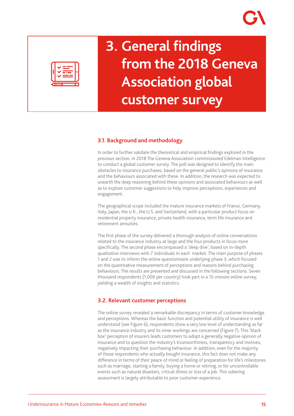

# **3. General findings from the 2018 Geneva Association global customer survey**

# **3.1. Background and methodology**

In order to further validate the theoretical and empirical findings explored in the previous section, in 2018 The Geneva Association commissioned Edelman Intelligence to conduct a global customer survey. The poll was designed to identify the main obstacles to insurance purchases, based on the general public's opinions of insurance and the behaviours associated with these. In addition, the research was expected to unearth the deep reasoning behind these opinions and associated behaviours as well as to explore customer suggestions to help improve perceptions, experiences and engagement.

The geographical scope included the mature insurance markets of France, Germany, Italy, Japan, the U.K., the U.S. and Switzerland, with a particular product focus on residential property insurance, private health insurance, term life insurance and retirement annuities.

The first phase of the survey delivered a thorough analysis of online conversations related to the insurance industry at large and the four products in focus more specifically. The second phase encompassed a 'deep dive', based on in-depth qualitative interviews with 7 individuals in each market. The main purpose of phases 1 and 2 was to inform the online questionnaire underlying phase 3, which focused on the quantitative measurement of perceptions and reasons behind purchasing behaviours. The results are presented and discussed in the following sections. Seven thousand respondents (1,000 per country) took part in a 15-minute online survey, yielding a wealth of insights and statistics.

# **3.2. Relevant customer perceptions**

The online survey revealed a remarkable discrepancy in terms of customer knowledge and perceptions. Whereas the basic function and potential utility of insurance is well understood (see Figure 6), respondents show a very low level of understanding as far as the insurance industry and its inner workings are concerned (Figure 7). This 'black box' perception of insurers leads customers to adopt a generally negative opinion of insurance and to question the industry's trustworthiness, transparency and motives, negatively impacting their purchasing behaviour. In addition, even for the majority of those respondents who actually bought insurance, this fact does not make any difference in terms of their peace of mind or feeling of preparation for life's milestones such as marriage, starting a family, buying a home or retiring, or for uncontrollable events such as natural disasters, critical illness or loss of a job. This sobering assessment is largely attributable to poor customer experience.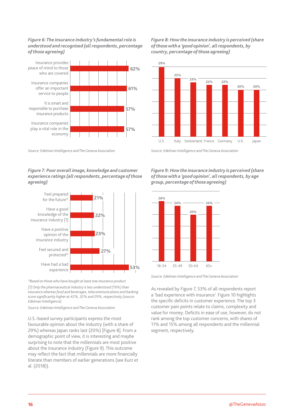# *Figure 6: The insurance industry's fundamental role is understood and recognised (all respondents, percentage of those agreeing)*



*Source: Edelman Intelligence and The Geneva Association*

*Figure 7: Poor overall image, knowledge and customer experience ratings (all respondents, percentage of those agreeing)*



*\*Based on those who have bought at least one insurance product [1] Only the pharmaceutical industry is less understood (19%) than insurance whereas food and beverages, telecommunications and banking score significantly higher at 42%, 32% and 29%, respectively (source: Edelman Intelligence).*

*Source: Edelman Intelligence and The Geneva Association*

U.S.-based survey participants express the most favourable opinion about the industry (with a share of 29%) whereas Japan ranks last (20%) [Figure 8]. From a demographic point of view, it is interesting and maybe surprising to note that the millennials are most positive about the insurance industry (Figure 9). This outcome may reflect the fact that millennials are more financially literate than members of earlier generations (see Kurz et al. (2018)).

*Figure 8: How the insurance industry is perceived (share of those with a 'good opinion', all respondents, by country, percentage of those agreeing)*



*Source: Edelman Intelligence and The Geneva Association*

*Figure 9: How the insurance industry is perceived (share of those with a 'good opinion', all respondents, by age group, percentage of those agreeing)*



*Source: Edelman Intelligence and The Geneva Association*

As revealed by Figure 7, 53% of all respondents report a 'bad experience with insurance'. Figure 10 highlights the specific deficits in customer experience. The top 3 customer pain points relate to claims, complexity and value for money. Deficits in ease of use, however, do not rank among the top customer concerns, with shares of 11% and 15% among all respondents and the millennial segment, respectively.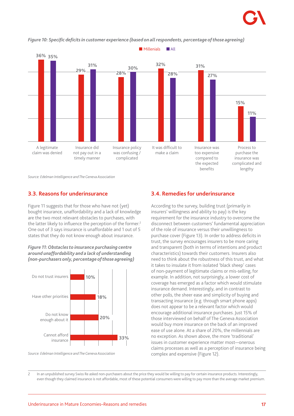

# *Figure 10: Specific deficits in customer experience (based on all respondents, percentage of those agreeing)*

*Source: Edelman Intelligence and The Geneva Association*

# **3.3. Reasons for underinsurance**

Figure 11 suggests that for those who have not (yet) bought insurance, unaffordability and a lack of knowledge are the two most relevant obstacles to purchases, with the latter likely to influence the perception of the former.<sup>2</sup> One out of 3 says insurance is unaffordable and 1 out of 5 states that they do not know enough about insurance.

*Figure 11: Obstacles to insurance purchasing centre around unaffordability and a lack of understanding (non-purchasers only, percentage of those agreeing)*



*Source: Edelman Intelligence and The Geneva Association*

# **3.4. Remedies for underinsurance**

According to the survey, building trust (primarily in insurers' willingness and ability to pay) is the key requirement for the insurance industry to overcome the disconnect between customers' fundamental appreciation of the role of insurance versus their unwillingness to purchase cover (Figure 13). In order to address deficits in trust, the survey encourages insurers to be more caring and transparent (both in terms of intentions and product characteristics) towards their customers. Insurers also need to think about the robustness of this trust, and what it takes to insulate it from isolated 'black sheep' cases of non-payment of legitimate claims or mis-selling, for example. In addition, not surprisingly, a lower cost of coverage has emerged as a factor which would stimulate insurance demand. Interestingly, and in contrast to other polls, the sheer ease and simplicity of buying and transacting insurance (e.g. through smart phone apps) does not appear to be a relevant factor which would encourage additional insurance purchases. Just 15% of those interviewed on behalf of The Geneva Association would buy more insurance on the back of an improved ease of use alone. At a share of 20%, the millennials are no exception. As shown above, the more 'traditional' issues in customer experience matter most—onerous claims processes as well as a perception of insurance being complex and expensive (Figure 12).

2 In an unpublished survey Swiss Re asked non-purchasers about the price they would be willing to pay for certain insurance products. Interestingly, even though they claimed insurance is not affordable, most of these potential consumers were willing to pay more than the average market premium.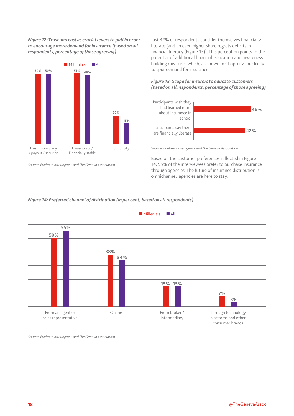*Figure 12: Trust and cost as crucial levers to pull in order to encourage more demand for insurance (based on all respondents, percentage of those agreeing)*



*Source: Edelman Intelligence and The Geneva Association*

Just 42% of respondents consider themselves financially literate (and an even higher share regrets deficits in financial literacy (Figure 13)). This perception points to the potential of additional financial education and awareness building measures which, as shown in Chapter 2, are likely to spur demand for insurance.

### *Figure 13: Scope for insurers to educate customers (based on all respondents, percentage of those agreeing)*



*Source: Edelman Intelligence and The Geneva Association*

Based on the customer preferences reflected in Figure 14, 55% of the interviewees prefer to purchase insurance through agencies. The future of insurance distribution is omnichannel; agencies are here to stay.

## *Figure 14: Preferred channel of distribution (in per cent, based on all respondents)*



### ■ Millenials ■ All

*Source: Edelman Intelligence and The Geneva Association*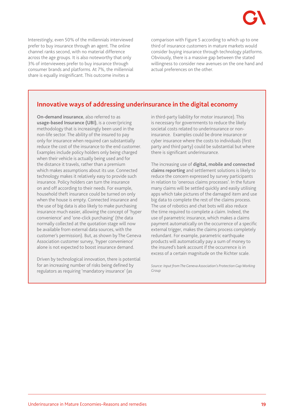

Interestingly, even 50% of the millennials interviewed prefer to buy insurance through an agent. The online channel ranks second, with no material difference across the age groups. It is also noteworthy that only 3% of interviewees prefer to buy insurance through consumer brands and platforms. At 7%, the millennial share is equally insignificant. This outcome invites a

comparison with Figure 5 according to which up to one third of insurance customers in mature markets would consider buying insurance through technology platforms. Obviously, there is a massive gap between the stated willingness to consider new avenues on the one hand and actual preferences on the other.

# **Innovative ways of addressing underinsurance in the digital economy**

**On-demand insurance**, also referred to as **usage-based Insurance (UBI)**, is a cover/pricing methodology that is increasingly been used in the non-life sector. The ability of the insured to pay only for insurance when required can substantially reduce the cost of the insurance to the end customer. Examples include policy holders only being charged when their vehicle is actually being used and for the distance it travels, rather than a premium which makes assumptions about its use. Connected technology makes it relatively easy to provide such insurance. Policy holders can turn the insurance on and off according to their needs. For example, household theft insurance could be turned on only when the house is empty. Connected insurance and the use of big data is also likely to make purchasing insurance much easier, allowing the concept of 'hyper convenience' and 'one-click purchasing' (the data normally collected at the quotation stage will now be available from external data sources, with the customer's permission). But, as shown by The Geneva Association customer survey, 'hyper convenience' alone is not expected to boost insurance demand.

Driven by technological innovation, there is potential for an increasing number of risks being defined by regulators as requiring 'mandatory insurance' (as

in third-party liability for motor insurance). This is necessary for governments to reduce the likely societal costs related to underinsurance or noninsurance. Examples could be drone insurance or cyber insurance where the costs to individuals (first party and third party) could be substantial but where there is significant underinsurance.

The increasing use of **digital, mobile and connected claims reporting** and settlement solutions is likely to reduce the concern expressed by survey participants in relation to 'onerous claims processes'. In the future many claims will be settled quickly and easily utilising apps which take pictures of the damaged item and use big data to complete the rest of the claims process. The use of robotics and chat bots will also reduce the time required to complete a claim. Indeed, the use of parametric insurance, which makes a claims payment automatically on the occurrence of a specific external trigger, makes the claims process completely redundant. For example, parametric earthquake products will automatically pay a sum of money to the insured's bank account if the occurrence is in excess of a certain magnitude on the Richter scale.

*Source: Input from The Geneva Association's Protection Gap Working Group*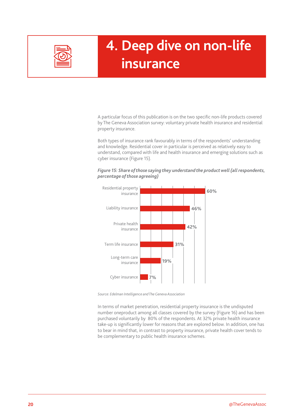

# **4. Deep dive on non-life insurance**

A particular focus of this publication is on the two specific non-life products covered by The Geneva Association survey: voluntary private health insurance and residential property insurance.

Both types of insurance rank favourably in terms of the respondents' understanding and knowledge. Residential cover in particular is perceived as relatively easy to understand, compared with life and health insurance and emerging solutions such as cyber insurance (Figure 15).





*Source: Edelman Intelligence and The Geneva Association*

In terms of market penetration, residential property insurance is the undisputed number oneproduct among all classes covered by the survey (Figure 16) and has been purchased voluntarily by 80% of the respondents. At 32% private health insurance take-up is significantly lower for reasons that are explored below. In addition, one has to bear in mind that, in contrast to property insurance, private health cover tends to be complementary to public health insurance schemes.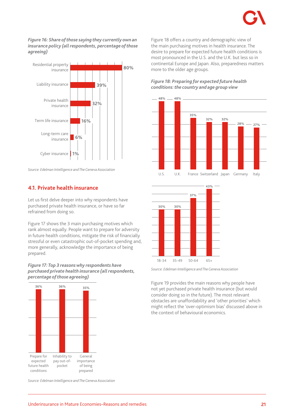

# *Figure 16: Share of those saying they currently own an insurance policy (all respondents, percentage of those agreeing)*



*Source: Edelman Intelligence and The Geneva Association*

# **4.1. Private health insurance**

Let us first delve deeper into why respondents have purchased private health insurance, or have so far refrained from doing so.

Figure 17 shows the 3 main purchasing motives which rank almost equally. People want to prepare for adversity in future health conditions, mitigate the risk of financially stressful or even catastrophic out-of-pocket spending and, more generally, acknowledge the importance of being prepared.

*Figure 17: Top 3 reasons why respondents have purchased private health insurance (all respondents, percentage of those agreeing)*



*Source: Edelman Intelligence and The Geneva Association*

Figure 18 offers a country and demographic view of the main purchasing motives in health insurance. The desire to prepare for expected future health conditions is most pronounced in the U.S. and the U.K. but less so in continental Europe and Japan. Also, preparedness matters more to the older age groups.

## *Figure 18: Preparing for expected future health conditions: the country and age group view*





*Source: Edelman Intelligence and The Geneva Association*

Figure 19 provides the main reasons why people have not yet purchased private health insurance (but would consider doing so in the future). The most relevant obstacles are unaffordability and 'other priorities' which might reflect the 'over-optimism bias' discussed above in the context of behavioural economics.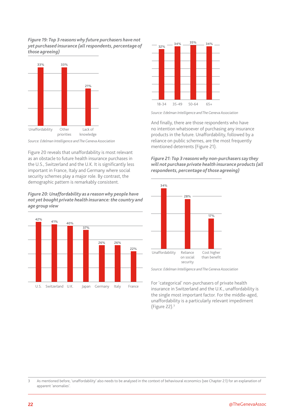*Figure 19: Top 3 reasons why future purchasers have not yet purchased insurance (all respondents, percentage of those agreeing)*



*Source: Edelman Intelligence and The Geneva Association*

Figure 20 reveals that unaffordability is most relevant as an obstacle to future health insurance purchases in the U.S., Switzerland and the U.K. It is significantly less important in France, Italy and Germany where social security schemes play a major role. By contrast, the demographic pattern is remarkably consistent.

*Figure 20: Unaffordability as a reason why people have not yet bought private health insurance: the country and age group view*





*Source: Edelman Intelligence and The Geneva Association*

And finally, there are those respondents who have no intention whatsoever of purchasing any insurance products in the future. Unaffordability, followed by a reliance on public schemes, are the most frequently mentioned deterrents (Figure 21).

*Figure 21: Top 3 reasons why non-purchasers say they will not purchase private health insurance products (all respondents, percentage of those agreeing)*



*Source: Edelman Intelligence and The Geneva Association*

For 'categorical' non-purchasers of private health insurance in Switzerland and the U.K., unaffordability is the single most important factor. For the middle-aged, unaffordability is a particularly relevant impediment (Figure 22).3

<sup>3</sup> As mentioned before, 'unaffordability' also needs to be analysed in the context of behavioural economics (see Chapter 2.1) for an explanation of apparent 'anomalies'.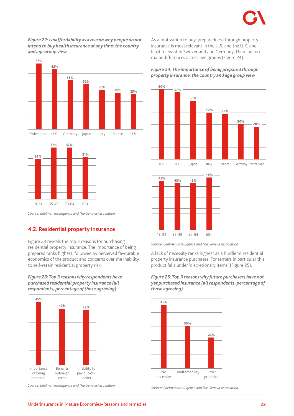

# *Figure 22: Unaffordability as a reason why people do not intend to buy health insurance at any time: the country and age group view*



*Source: Edelman Intelligence and The Geneva Association*

# **4.2. Residential property insurance**

Figure 23 reveals the top 3 reasons for purchasing residential property insurance. The importance of being prepared ranks highest, followed by perceived favourable economics of the product and concerns over the inability to self-retain residential property risk.

*Figure 23: Top 3 reasons why respondents have purchased residential property insurance (all respondents, percentage of those agreeing)*



*Source: Edelman Intelligence and The Geneva Association*

As a motivation to buy, preparedness through property insurance is most relevant in the U.S. and the U.K. and least relevant in Switzerland and Germany. There are no major differences across age groups (Figure 24).

# *Figure 24: The importance of being prepared through property insurance: the country and age group view*





*Source: Edelman Intelligence and The Geneva Association*

A lack of necessity ranks highest as a hurdle to residential property insurance purchases. For renters in particular this product falls under 'discretionary items' (Figure 25).

*Figure 25: Top 3 reasons why future purchasers have not yet purchased insurance (all respondents, percentage of those agreeing)*



*Source: Edelman Intelligence and The Geneva Association*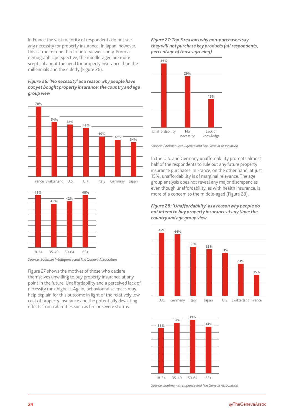In France the vast majority of respondents do not see any necessity for property insurance. In Japan, however, this is true for one third of interviewees only. From a demographic perspective, the middle-aged are more sceptical about the need for property insurance than the millennials and the elderly (Figure 26).

# *Figure 26: 'No necessity' as a reason why people have not yet bought property insurance: the country and age group view*





*Source: Edelman Intelligence and The Geneva Association*

Figure 27 shows the motives of those who declare themselves unwilling to buy property insurance at any point in the future. Unaffordability and a perceived lack of necessity rank highest. Again, behavioural sciences may help explain for this outcome in light of the relatively low cost of property insurance and the potentially devasting effects from calamities such as fire or severe storms.

# *Figure 27: Top 3 reasons why non-purchasers say they will not purchase key products (all respondents, percentage of those agreeing)*



*Source: Edelman Intelligence and The Geneva Association*

In the U.S. and Germany unaffordability prompts almost half of the respondents to rule out any future property insurance purchases. In France, on the other hand, at just 15%, unaffordability is of marginal relevance. The age group analysis does not reveal any major discrepancies even though unaffordability, as with health insurance, is more of a concern to the middle-aged (Figure 28).

*Figure 28: 'Unaffordability' as a reason why people do not intend to buy property insurance at any time: the country and age group view*





*Source: Edelman Intelligence and The Geneva Association*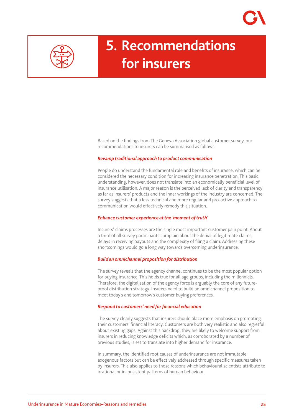

# **5. Recommendations for insurers**

Based on the findings from The Geneva Association global customer survey, our recommendations to insurers can be summarised as follows:

### *Revamp traditional approach to product communication*

People do understand the fundamental role and benefits of insurance, which can be considered the necessary condition for increasing insurance penetration. This basic understanding, however, does not translate into an economically beneficial level of insurance utilisation. A major reason is the perceived lack of clarity and transparency as far as insurers' products and the inner workings of the industry are concerned. The survey suggests that a less technical and more regular and pro-active approach to communication would effectively remedy this situation.

### *Enhance customer experience at the 'moment of truth'*

Insurers' claims processes are the single most important customer pain point. About a third of all survey participants complain about the denial of legitimate claims, delays in receiving payouts and the complexity of filing a claim. Addressing these shortcomings would go a long way towards overcoming underinsurance.

# *Build an omnichannel proposition for distribution*

The survey reveals that the agency channel continues to be the most popular option for buying insurance. This holds true for all age groups, including the millennials. Therefore, the digitalisation of the agency force is arguably the core of any futureproof distribution strategy. Insurers need to build an omnichannel proposition to meet today's and tomorrow's customer buying preferences.

### *Respond to customers' need for financial education*

The survey clearly suggests that insurers should place more emphasis on promoting their customers' financial literacy. Customers are both very realistic and also regretful about existing gaps. Against this backdrop, they are likely to welcome support from insurers in reducing knowledge deficits which, as corroborated by a number of previous studies, is set to translate into higher demand for insurance.

In summary, the identified root causes of underinsurance are not immutable exogenous factors but can be effectively addressed through specific measures taken by insurers. This also applies to those reasons which behavioural scientists attribute to irrational or inconsistent patterns of human behaviour.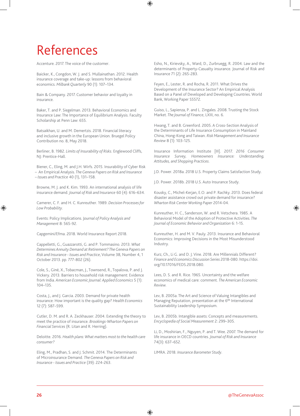# References

Accenture. 2017. The voice of the customer Accenture. 2017. The voice of the customer.

Baicker, K., Congdon, W. J. and S. Mullainathan. 2012. Health insurance coverage and take-up: lessons from behavioral insurance coverage and take-up: lessons from behavioral economics', *Milbank Quarterly* 90(1): 107–134 economics. *Milbank Quarterly* 90 (1): 107–134.

Bain & Company. 2017. Customer behavior and loyalty in Bain & Company. 2017. Customer behavior and loyalty in insurance insurance.

Baker, T. and P. Siegelman. 2013. Behavioral Economics and Baker, T. and P. Siegelman. 2013. Behavioral Economics and<br>Insurance Law: The Importance of Equilibrium Analysis. Faculty Scholarship at Penn Law: 655 Scholarship at Penn Law: 655.

Batsaikhan, U. and M. Demertzis. 2018. Financial literacy Batsaikhan, U. and M. Demertzis. 2018. Financial literacy<br>and inclusive growth in the European Union. Bruegel Policy Contribution no. 8, May 2018 Contribution no. 8, May 2018.

Berliner, B. 1982. Limits of Insurability of Risks, Englewood Cliffs, Berliner, B. 1982. *Limits of Insurability of Risks*. Englewood Cliffs, NJ: Prentice-Hall NJ: Prentice-Hall.

Biener, C., Eling, M. and J.H. Wirfs. 2015. Insurability of Cyber Risk Biener, C., Eling, M. and J.H. Wirfs. 2015. Insurability of Cyber Risk – An Empirical Analysis, The Geneva Papers on Risk and Insurance – An Empirical Analysis. *The Geneva Papers on Risk and Insurance* – Issues and Practice 40(1), 131–158 – *Issues and Practice* 40 (1), 131–158.

Browne, M. J. and K. Kim. 1993. An international analysis of life

insurance demand', *Journal of Risk and Insurance* 60(4): 616–634 insurance demand. *Journal of Risk and Insurance* 60 (4): 616–634.

Camerer, C. F. and H. C. Kunreuther. 1989. *Decision Processes for* Low Probability *Low Probability*.

Events: Policy Implications. Journal of Policy Analysis and Events: Policy Implications. J*ournal of Policy Analysis and*  Management 8:565-92 *Management* 8: 565-92.

Capgemini/Efma. 2018. World Insurance Report 2018 Capgemini/Efma. 2018. World Insurance Report 2018.

Cappelletti, G., Guazzarotti, G. and P. Tommasino. 2013. What Cappelletti, G., Guazzarotti, G. and P. Tommasino. 2013. *What*  Determines Annuity Demand at Retirement? The Geneva Papers on Determines Annuity Demand at Retirement? The Geneva Papers on<br>Risk and Insurance - Issues and Practice, Volume 38, Number 4, 1 4, 1 October 2013, pp. 777-802(26) October 2013. pp. 777-802 (26). **Reference**<br> **26** www.genevaassociation.come interaction.come interaction.come interaction.come interaction.come interaction.come interaction.org and the second interaction.come interaction.come interaction.come interacti

Cole, S., Giné, X., Tobacman, J., Townsend, R., Topalova, P. and J. Cole, S., Giné, X., Tobacman, J., Townsend, R., Topalova, P. and J. Vickery. 2013. Barriers to household risk management: Evidence from India', American Economic Journal: Applied Economics, 5(1): from India. *American Economic Journal: Applied Economics* 5 (1): 104–135 104–135.

Costa, J., and J. Garcia. 2003. Demand for private health insurance: How important is the quality gap?' Health Economics insurance: How important is the quality gap? *Health Economics* 12(7): 587–599 12 (7): 587–599.

Cutler, D. M. and R. A. Zeckhauser. 2004. Extending the theory to meet the practice of insurance. *Brookings-Wharton Papers on* Financial Services (R. Litan and R. Herring) *Financial Services* (R. Litan and R. Herring).

Deloitte. 2016. Health plans: What matters *most* to the health Deloitte. 2016. *Health plans: What matters most to the health care*  care consumer *consumer?*

Eling, M., Pradhan, S. and J. Schmit. 2014. The Determinants of Microinsurance Demand', *The Geneva Papers on Risk and*  of Microinsurance Demand. *The Geneva Papers on Risk and Insurance - Issues and Practice* (39): 224-263 *Insurance - Issues and Practice* (39): 224-263.

Esho, N., Kirievsky, A., Ward, D., Zurbruegg, R. 2004. Law and the Esho, N., Kirievsky, A., Ward, D., Zurbruegg, R. 2004. Law and the determinants of Property-Casualty insurance, Journal of Risk and determinants of Property-Casualty insurance. Journal of Risk and Insurance, 71(2): 265-283 Insurance 71 (2): 265-283.

Feyen, E., Lester, R. and Rocha, R. 2011. What Drives the Development of the Insurance Sector? An Empirical Analysis Development of the Insurance Sector? An Empirical Analysis<br>Based on a Panel of Developed and Developing Countries. World Bank, Working Paper S5572 Bank, Working Paper S5572.

Guiso, L., Sapienza, P. and L. Zingales. 2008. Trusting the Stock Guiso, L., Sapienza, P. and L. Zingales. 2008. Trusting the Stock Market. *The Journal of Finance*, LXIII, no. 6.

Hwang, T. and B. Greenford. 2005. A Cross-Section Analysis of Hwang, T. and B. Greenford. 2005. A Cross-Section Analysis of the Determinants of Life Insurance Consumption in Mainland the Determinants of Life Insurance Consumption in Mainland China, Hong-Kong and Taiwan, *Risk Management and Insurance*  China, Hong-Kong and Taiwan. *Risk Management and Insurance Review*, 8(1): 103-125 *Review* 8 (1): 103-125.

Insurance Information Institute [III]. 2017. 2016 Consumer Insurance Information Institute [III]. 2017. *2016 Consumer*  Insurance Survey, Homeowners Insurance: Understanding, *Insurance Survey, Homeowners Insurance: Understanding,*  Attitudes, and Shopping Practices *Attitudes, and Shopping Practices*.

J.D. Power. 2018a. 2018 U.S. Property Claims Satisfaction Study J.D. Power. 2018a. 2018 U.S. Property Claims Satisfaction Study.

J.D. Power. 2018b. 2018 U.S. Auto Insurance Study J.D. Power. 2018b. 2018 U.S. Auto Insurance Study.

Kousky, C., Michel-Kerjan, E.O. and P. Rachky. 2013. Does federal disaster assistance crowd out private demand for insurance' *Risk*  disaster assistance crowd out private demand for insurance? *Management and Decision Processes Center, The Wharton School, Wharton Risk Center Working Paper* 2014-04.

Behavioral Model of the Adoption of Protective Activities. The Behavioral Model of the Adoption of Protective Activities. The *Journal of Economic Behavior and Organization* 6: 1-15. Kunreuther, H. C., Sanderson, W. and R. Vetschera. 1985. A

Economics: Improving Decisions in the Most Misunderstood Economics: Improving Decisions in the Most Misunderstood Industry. Kunreuther, H. and M. V. Pauly. 2013. Insurance and Behavioral

Finance and Economics Discussion Series 2018-080. https://doi. org/10.17016/FEDS.2018.080. Kurz, Ch., Li G. and D. J. Vine. 2018. Are Millennials Different?

Lees, D. S. and R. Rice. 1965. Uncertainty and the welfare  $\blacksquare$ *Review.*  $\blacksquare$ economics of medical care: comment. *The American Economic* 

Lev, B. 2005a. The Art and Science of Valuing Intangibles and Sustainability Leadership Symposium. Managing Reputation, presentation at the 6th International

Lev, B. 2005b. Intangible assets: Concepts and measurements. *Encyclopedia of Social Measurement* 2: 299–305.

Li, D., Moshirian, F., Nguyen, P. and T. Wee. 2007. The demand for 74(3): 637–652. life insurance in OECD countries. *Journal of Risk and Insurance*

LIMRA. 2018. Insurance Barometer Study.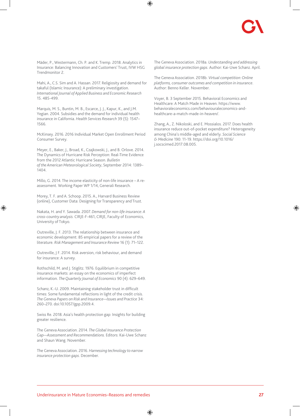Mäder, P., Westermann, Ch. P. and K. Tremp. 2018. Analytics in Mäder, P., Westermann, Ch. P. and K. Tremp. 2018. Analytics in Insurance: Balancing Innovation and Customers' Trust, IVW HSG Insurance: Balancing Innovation and Customers' Trust, IVW HSG Trendmonitor 2.

Mahi, A., C.S. Sim and A. Hassan. 2017. Religiosity and demand for takaful (Islamic Insurance): A preliminary investigation. International Journal of Applied Business and Economic Research. *International Journal of Applied Business and Economic Research* 15. 485-499 15. 485-499.

Marquis, M. S., Buntin, M. B., Escarce, J. J., Kapur, K., and J.M. Marquis, M. S., Buntin, M. B., Escarce, J. J., Kapur, K., and J.M. Yegian. 2004. Subsidies and the demand for individual health Yegian. 2004. Subsidies and the demand for individual health<br>insurance in California. *Health Services Research* 39 (5): 1547– 1566 1566.

McKinsey. 2016. 2016 Individual Market Open Enrollment Period McKinsey. 2016. 2016 Individual Market Open Enrollment Period Consumer Survey Consumer Survey.

Meyer, E., Baker, J., Broad, K., Czajkowski, J., and B. Orlove. Meyer, E., Baker, J., Broad, K., Czajkowski, J., and B. Orlove. 2014. The Dynamics of Hurricane Risk Perception: Real-Time Evidence from the 2012 Atlantic Hurricane Season. *Bulletin* of the American Meteorological Society, September 2014: 1389– 1389–1404 1404.

Millo, G. 2014. The income elasticity of non-life insurance – A re-Millo, G. 2014. The income elasticity of non-life insurance – A reassessment. Working Paper WP 1/14, Generali Research.

Morey, T. F. and A. Schoop. 2015. A., Harvard Business Review Morey, T. F. and A. Schoop. 2015. A., Harvard Business Review (online), Customer Data: Designing for Transparency and Trust (online), Customer Data: Designing for Transparency and Trust.

Nakata, H. and Y. Sawada. 2007. *'Demand for non-life insurance: A*  Nakata, H. and Y. Sawada. 2007. *Demand for non-life insurance: A cross-country analysis'*, CIRJE-F-461, CIRJE, Faculty of Economics, *cross-country analysis.* CIRJE-F-461, CIRJE, Faculty of Economics, University of Tokyo University of Tokyo.

Outreville, J. F. 2013. The relationship between insurance and Outreville, J. F. 2013. The relationship between insurance and<br>economic development: 85 empirical papers for a review of the literature', *Risk Management and Insurance Review* 16(1): 71–122 literature. *Risk Management and Insurance Review* 16 (1): 71–122.

Outreville, J F. 2014. Risk aversion, risk behaviour, and demand for insurance: A survey.

Rothschild, M. and J. Stiglitz. 1976. Equilibrium in competitive insurance markets: an essay on the economics of imperfect insurance markets: an essay on the economics of imperfect information', *The Quarterly Journal of Economics* 90(4): 629–649 information. *The Quarterly Journal of Economics* 90 (4): 629–649.

Schanz, K.-U. 2009. Maintaining stakeholder trust in difficult Schanz, K.-U. 2009. Maintaining stakeholder trust in difficult times: Some fundamental reflections in light of the credit crisis, times: Some fundamental reflections in light of the credit crisis. The Geneva Papers on Risk and Insurance-Issues and Practice 34: 260–270. doi:10.1057/gpp.2009.4.

Swiss Re. 2018. Asia's health protection gap: Insights for building greater resilience.

The Geneva Association. 2014. *The Global Insurance Protection* Gap-Assessment and Recommendations. Editors: Kai-Uwe Schanz and Shaun Wang. November.

The Geneva Association. 2016. 'Harnessing technology to narrow The Geneva Association. 2016. *Harnessing technology to narrow*  insurance protection gaps. December.

The Geneva Association. 2018a. 'Understanding and addressing The Geneva Association. 2018a. *Understanding and addressing global insurance protection gaps*. Author: Kai-Uwe Schanz. April.

The Geneva Association. 2018b. 'Virtual competition: Online The Geneva Association. 2018b. *Virtual competition: Online*  platforms, consumer outcomes and competition in insurance' *platforms, consumer outcomes and competition in insurance*. Author: Benno Keller. November.

Voyer, B. 3 September 2015. Behavioral Economics and Healthcare: A Match Made in Heaven. https://www. behavioraleconomics.com/behaviouraleconomics-andhealthcare-a-match-made-in-heaven/.

Zhang, A., Z. Nikoloski, and E. Mossialos. 2017. Does health insurance reduce out-of-pocket expenditure? Heterogeneity among China's middle-aged and elderly. Social Science  $\epsilon$  Medicine 190: 11-19. https://doi.org/10.1016/ j.socscimed.2017.08.005.